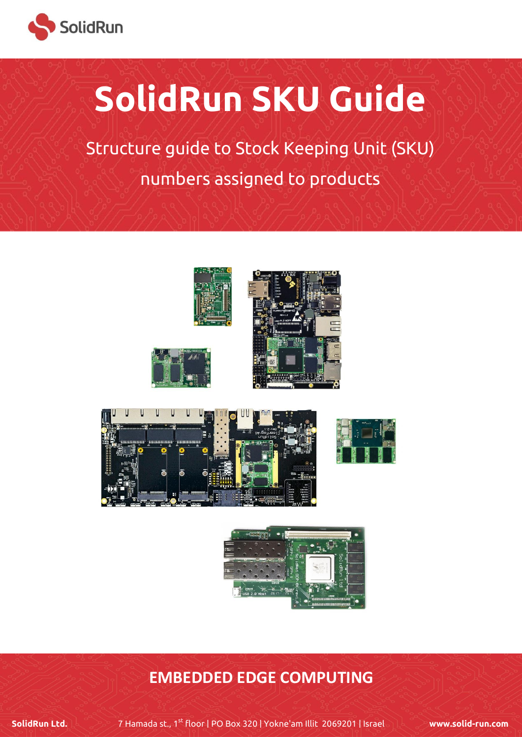

# **SolidRun SKU Guide**

Structure guide to Stock Keeping Unit (SKU) numbers assigned to products





### **EMBEDDED EDGE COMPUTING**

**SolidRun Ltd.** 7 Hamada st., 1st floor | PO Box 320 | Yokne'am Illit 2069201 | Israel **[www.solid-run.com](file:///C:/Users/jake/Desktop/www.solid-run.com)**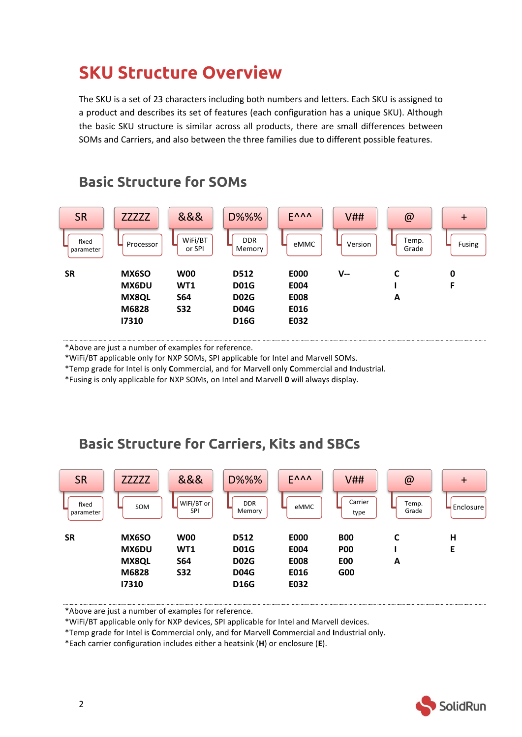## **SKU Structure Overview**

The SKU is a set of 23 characters including both numbers and letters. Each SKU is assigned to a product and describes its set of features (each configuration has a unique SKU). Although the basic SKU structure is similar across all products, there are small differences between SOMs and Carriers, and also between the three families due to different possible features.



### **Basic Structure for SOMs**

\*Above are just a number of examples for reference.

\*WiFi/BT applicable only for NXP SOMs, SPI applicable for Intel and Marvell SOMs.

\*Temp grade for Intel is only **C**ommercial, and for Marvell only **C**ommercial and **I**ndustrial.

\*Fusing is only applicable for NXP SOMs, on Intel and Marvell **0** will always display.

### **Basic Structure for Carriers, Kits and SBCs**



\*Above are just a number of examples for reference.

\*WiFi/BT applicable only for NXP devices, SPI applicable for Intel and Marvell devices.

\*Temp grade for Intel is **C**ommercial only, and for Marvell **C**ommercial and **I**ndustrial only.

\*Each carrier configuration includes either a heatsink (**H**) or enclosure (**E**).

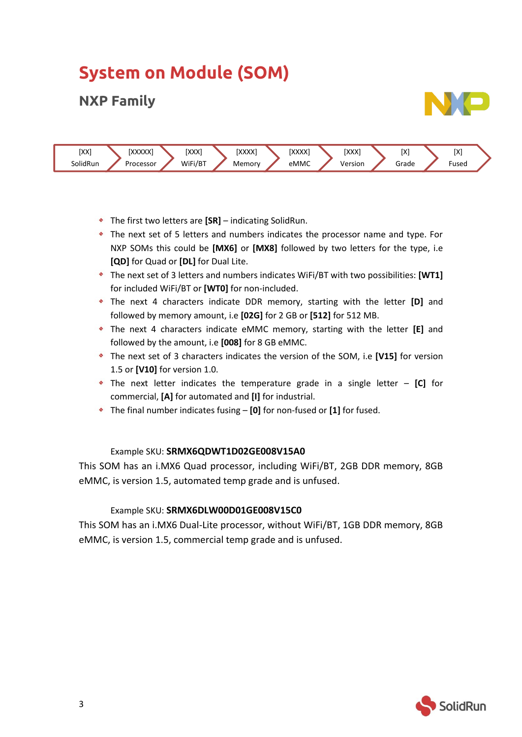# **System on Module (SOM)**

### **NXP Family**





- The first two letters are **[SR]** indicating SolidRun.
- The next set of 5 letters and numbers indicates the processor name and type. For NXP SOMs this could be **[MX6]** or **[MX8]** followed by two letters for the type, i.e **[QD]** for Quad or **[DL]** for Dual Lite.
- The next set of 3 letters and numbers indicates WiFi/BT with two possibilities: **[WT1]** for included WiFi/BT or **[WT0]** for non-included.
- The next 4 characters indicate DDR memory, starting with the letter **[D]** and followed by memory amount, i.e **[02G]** for 2 GB or **[512]** for 512 MB.
- The next 4 characters indicate eMMC memory, starting with the letter **[E]** and followed by the amount, i.e **[008]** for 8 GB eMMC.
- The next set of 3 characters indicates the version of the SOM, i.e **[V15]** for version 1.5 or **[V10]** for version 1.0.
- The next letter indicates the temperature grade in a single letter **[C]** for commercial, **[A]** for automated and **[I]** for industrial.
- The final number indicates fusing **[0]** for non-fused or **[1]** for fused.

#### Example SKU: **SRMX6QDWT1D02GE008V15A0**

This SOM has an i.MX6 Quad processor, including WiFi/BT, 2GB DDR memory, 8GB eMMC, is version 1.5, automated temp grade and is unfused.

#### Example SKU: **SRMX6DLW00D01GE008V15C0**

This SOM has an i.MX6 Dual-Lite processor, without WiFi/BT, 1GB DDR memory, 8GB eMMC, is version 1.5, commercial temp grade and is unfused.

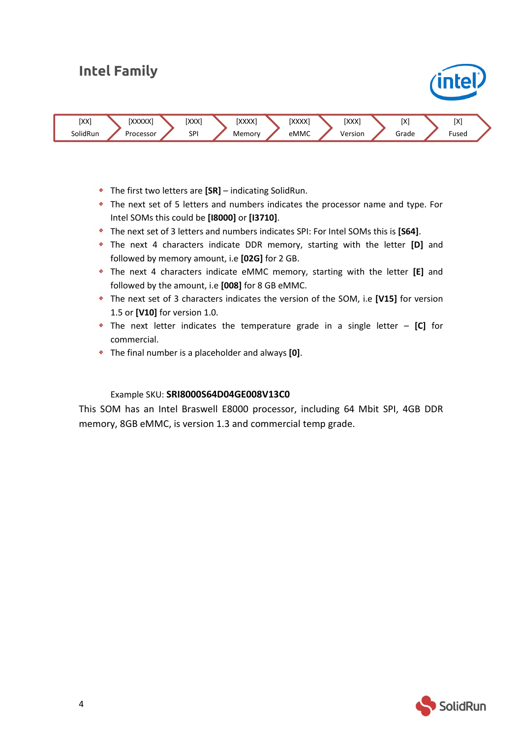### **Intel Family**



- The first two letters are **[SR]** indicating SolidRun.
- The next set of 5 letters and numbers indicates the processor name and type. For Intel SOMs this could be **[I8000]** or **[I3710]**.
- The next set of 3 letters and numbers indicates SPI: For Intel SOMs this is **[S64]**.
- The next 4 characters indicate DDR memory, starting with the letter **[D]** and followed by memory amount, i.e **[02G]** for 2 GB.
- The next 4 characters indicate eMMC memory, starting with the letter **[E]** and followed by the amount, i.e **[008]** for 8 GB eMMC.
- The next set of 3 characters indicates the version of the SOM, i.e **[V15]** for version 1.5 or **[V10]** for version 1.0.
- The next letter indicates the temperature grade in a single letter **[C]** for commercial.
- The final number is a placeholder and always **[0]**.

#### Example SKU: **SRI8000S64D04GE008V13C0**

This SOM has an Intel Braswell E8000 processor, including 64 Mbit SPI, 4GB DDR memory, 8GB eMMC, is version 1.3 and commercial temp grade.



intel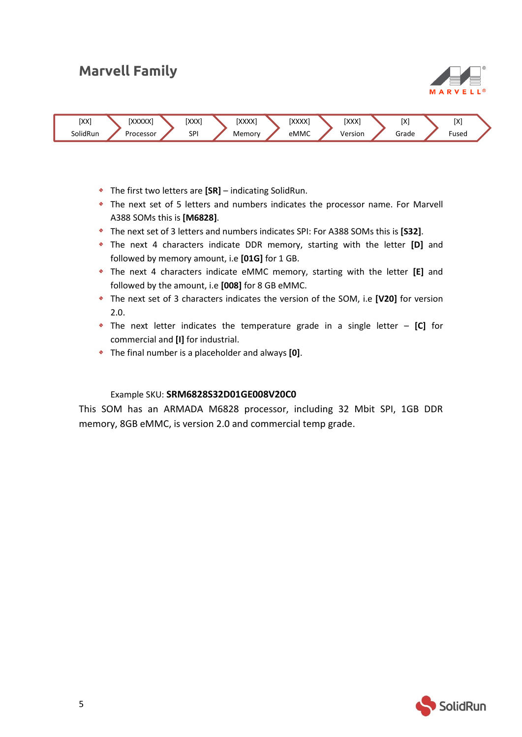### **Marvell Family**





- The first two letters are **[SR]** indicating SolidRun.
- The next set of 5 letters and numbers indicates the processor name. For Marvell A388 SOMs this is **[M6828]**.
- The next set of 3 letters and numbers indicates SPI: For A388 SOMs this is **[S32]**.
- The next 4 characters indicate DDR memory, starting with the letter **[D]** and followed by memory amount, i.e **[01G]** for 1 GB.
- The next 4 characters indicate eMMC memory, starting with the letter **[E]** and followed by the amount, i.e **[008]** for 8 GB eMMC.
- The next set of 3 characters indicates the version of the SOM, i.e **[V20]** for version 2.0.
- The next letter indicates the temperature grade in a single letter **[C]** for commercial and **[I]** for industrial.
- The final number is a placeholder and always **[0]**.

#### Example SKU: **SRM6828S32D01GE008V20C0**

This SOM has an ARMADA M6828 processor, including 32 Mbit SPI, 1GB DDR memory, 8GB eMMC, is version 2.0 and commercial temp grade.

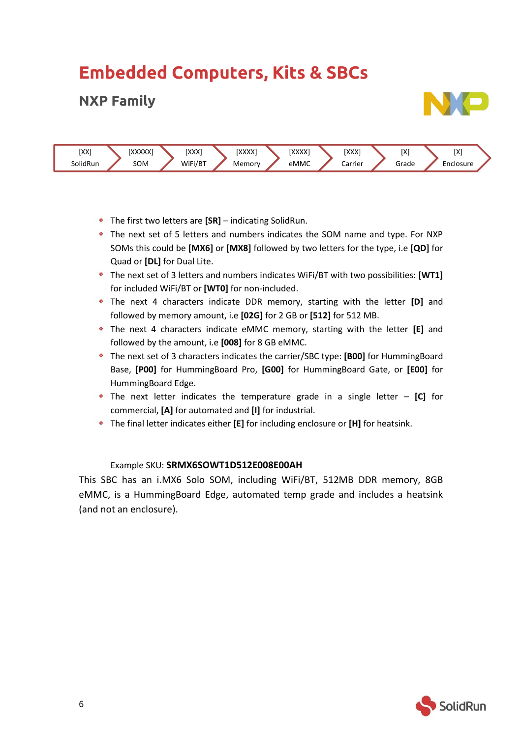# **Embedded Computers, Kits & SBCs**

### **NXP Family**





- The first two letters are **[SR]** indicating SolidRun.
- The next set of 5 letters and numbers indicates the SOM name and type. For NXP SOMs this could be **[MX6]** or **[MX8]** followed by two letters for the type, i.e **[QD]** for Quad or **[DL]** for Dual Lite.
- The next set of 3 letters and numbers indicates WiFi/BT with two possibilities: **[WT1]** for included WiFi/BT or **[WT0]** for non-included.
- The next 4 characters indicate DDR memory, starting with the letter **[D]** and followed by memory amount, i.e **[02G]** for 2 GB or **[512]** for 512 MB.
- The next 4 characters indicate eMMC memory, starting with the letter **[E]** and followed by the amount, i.e **[008]** for 8 GB eMMC.
- The next set of 3 characters indicates the carrier/SBC type: **[B00]** for HummingBoard Base, **[P00]** for HummingBoard Pro, **[G00]** for HummingBoard Gate, or **[E00]** for HummingBoard Edge.
- The next letter indicates the temperature grade in a single letter **[C]** for commercial, **[A]** for automated and **[I]** for industrial.
- The final letter indicates either **[E]** for including enclosure or **[H]** for heatsink.

#### Example SKU: **SRMX6SOWT1D512E008E00AH**

This SBC has an i.MX6 Solo SOM, including WiFi/BT, 512MB DDR memory, 8GB eMMC, is a HummingBoard Edge, automated temp grade and includes a heatsink (and not an enclosure).

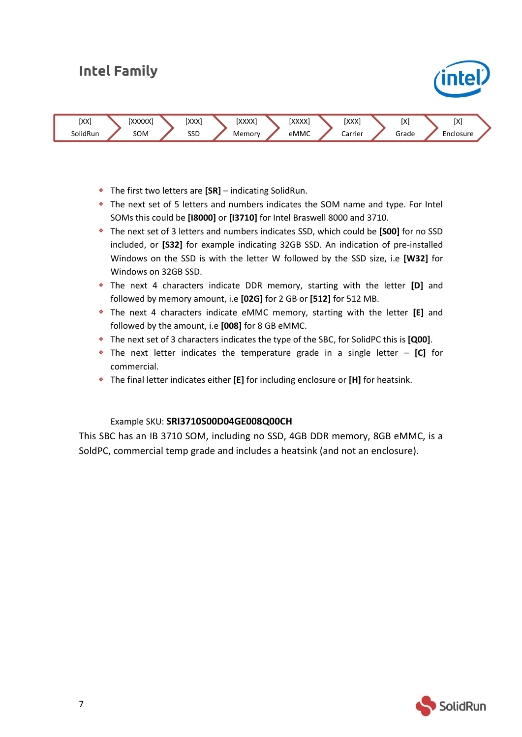### **Intel Family**



- The first two letters are **[SR]** indicating SolidRun.
- The next set of 5 letters and numbers indicates the SOM name and type. For Intel SOMs this could be **[I8000]** or **[I3710]** for Intel Braswell 8000 and 3710.
- The next set of 3 letters and numbers indicates SSD, which could be **[S00]** for no SSD included, or **[S32]** for example indicating 32GB SSD. An indication of pre-installed Windows on the SSD is with the letter W followed by the SSD size, i.e **[W32]** for Windows on 32GB SSD.
- The next 4 characters indicate DDR memory, starting with the letter **[D]** and followed by memory amount, i.e **[02G]** for 2 GB or **[512]** for 512 MB.
- The next 4 characters indicate eMMC memory, starting with the letter **[E]** and followed by the amount, i.e **[008]** for 8 GB eMMC.
- The next set of 3 characters indicates the type of the SBC, for SolidPC this is **[Q00]**.
- The next letter indicates the temperature grade in a single letter **[C]** for commercial.
- The final letter indicates either **[E]** for including enclosure or **[H]** for heatsink.

#### Example SKU: **SRI3710S00D04GE008Q00CH**

This SBC has an IB 3710 SOM, including no SSD, 4GB DDR memory, 8GB eMMC, is a SoldPC, commercial temp grade and includes a heatsink (and not an enclosure).